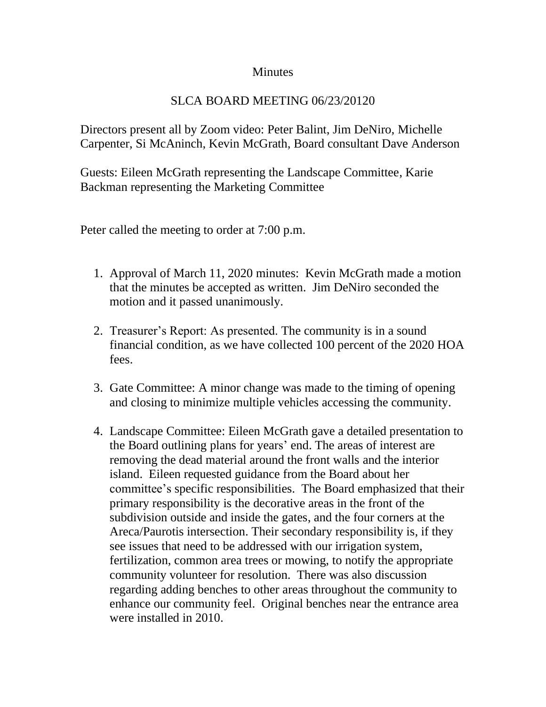## **Minutes**

## SLCA BOARD MEETING 06/23/20120

Directors present all by Zoom video: Peter Balint, Jim DeNiro, Michelle Carpenter, Si McAninch, Kevin McGrath, Board consultant Dave Anderson

Guests: Eileen McGrath representing the Landscape Committee, Karie Backman representing the Marketing Committee

Peter called the meeting to order at 7:00 p.m.

- 1. Approval of March 11, 2020 minutes: Kevin McGrath made a motion that the minutes be accepted as written. Jim DeNiro seconded the motion and it passed unanimously.
- 2. Treasurer's Report: As presented. The community is in a sound financial condition, as we have collected 100 percent of the 2020 HOA fees.
- 3. Gate Committee: A minor change was made to the timing of opening and closing to minimize multiple vehicles accessing the community.
- 4. Landscape Committee: Eileen McGrath gave a detailed presentation to the Board outlining plans for years' end. The areas of interest are removing the dead material around the front walls and the interior island. Eileen requested guidance from the Board about her committee's specific responsibilities. The Board emphasized that their primary responsibility is the decorative areas in the front of the subdivision outside and inside the gates, and the four corners at the Areca/Paurotis intersection. Their secondary responsibility is, if they see issues that need to be addressed with our irrigation system, fertilization, common area trees or mowing, to notify the appropriate community volunteer for resolution. There was also discussion regarding adding benches to other areas throughout the community to enhance our community feel. Original benches near the entrance area were installed in 2010.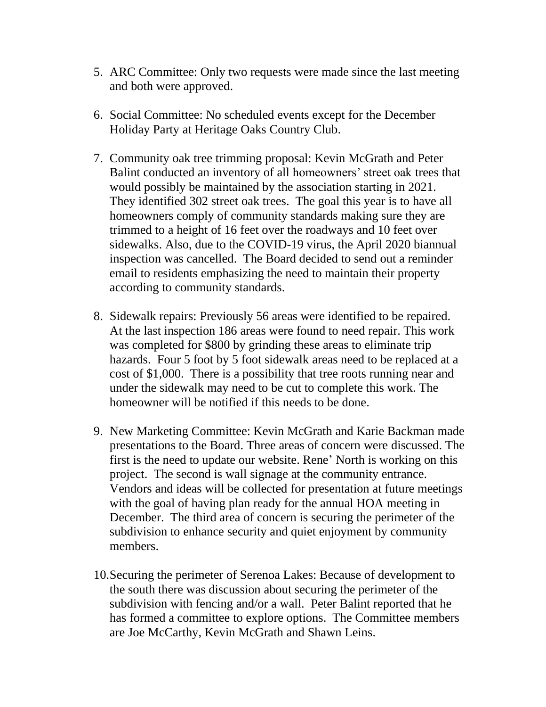- 5. ARC Committee: Only two requests were made since the last meeting and both were approved.
- 6. Social Committee: No scheduled events except for the December Holiday Party at Heritage Oaks Country Club.
- 7. Community oak tree trimming proposal: Kevin McGrath and Peter Balint conducted an inventory of all homeowners' street oak trees that would possibly be maintained by the association starting in 2021. They identified 302 street oak trees. The goal this year is to have all homeowners comply of community standards making sure they are trimmed to a height of 16 feet over the roadways and 10 feet over sidewalks. Also, due to the COVID-19 virus, the April 2020 biannual inspection was cancelled. The Board decided to send out a reminder email to residents emphasizing the need to maintain their property according to community standards.
- 8. Sidewalk repairs: Previously 56 areas were identified to be repaired. At the last inspection 186 areas were found to need repair. This work was completed for \$800 by grinding these areas to eliminate trip hazards. Four 5 foot by 5 foot sidewalk areas need to be replaced at a cost of \$1,000. There is a possibility that tree roots running near and under the sidewalk may need to be cut to complete this work. The homeowner will be notified if this needs to be done.
- 9. New Marketing Committee: Kevin McGrath and Karie Backman made presentations to the Board. Three areas of concern were discussed. The first is the need to update our website. Rene' North is working on this project. The second is wall signage at the community entrance. Vendors and ideas will be collected for presentation at future meetings with the goal of having plan ready for the annual HOA meeting in December. The third area of concern is securing the perimeter of the subdivision to enhance security and quiet enjoyment by community members.
- 10.Securing the perimeter of Serenoa Lakes: Because of development to the south there was discussion about securing the perimeter of the subdivision with fencing and/or a wall. Peter Balint reported that he has formed a committee to explore options. The Committee members are Joe McCarthy, Kevin McGrath and Shawn Leins.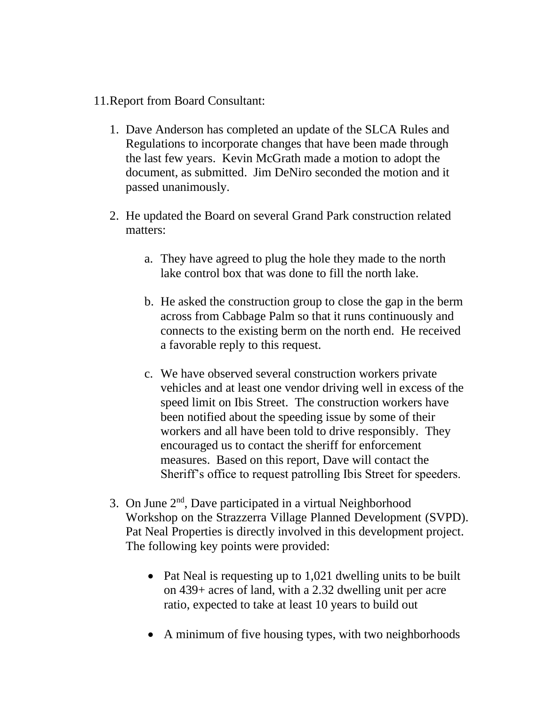## 11.Report from Board Consultant:

- 1. Dave Anderson has completed an update of the SLCA Rules and Regulations to incorporate changes that have been made through the last few years. Kevin McGrath made a motion to adopt the document, as submitted. Jim DeNiro seconded the motion and it passed unanimously.
- 2. He updated the Board on several Grand Park construction related matters:
	- a. They have agreed to plug the hole they made to the north lake control box that was done to fill the north lake.
	- b. He asked the construction group to close the gap in the berm across from Cabbage Palm so that it runs continuously and connects to the existing berm on the north end. He received a favorable reply to this request.
	- c. We have observed several construction workers private vehicles and at least one vendor driving well in excess of the speed limit on Ibis Street. The construction workers have been notified about the speeding issue by some of their workers and all have been told to drive responsibly. They encouraged us to contact the sheriff for enforcement measures. Based on this report, Dave will contact the Sheriff's office to request patrolling Ibis Street for speeders.
- 3. On June 2nd, Dave participated in a virtual Neighborhood Workshop on the Strazzerra Village Planned Development (SVPD). Pat Neal Properties is directly involved in this development project. The following key points were provided:
	- Pat Neal is requesting up to 1,021 dwelling units to be built on 439+ acres of land, with a 2.32 dwelling unit per acre ratio, expected to take at least 10 years to build out
	- A minimum of five housing types, with two neighborhoods